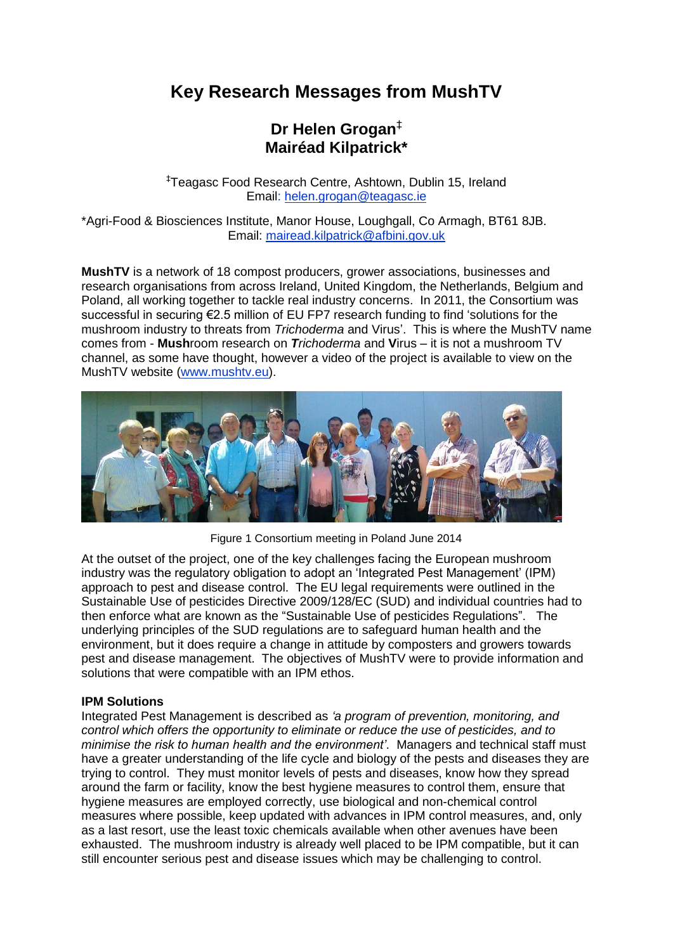# **Key Research Messages from MushTV**

## **Dr Helen Grogan**‡ **Mairéad Kilpatrick\***

‡Teagasc Food Research Centre, Ashtown, Dublin 15, Ireland Email: [helen.grogan@teagasc.ie](mailto:helen.grogan@teagasc.ie)

\*Agri-Food & Biosciences Institute, Manor House, Loughgall, Co Armagh, BT61 8JB. Email: mairead.kilpatrick@afbini.gov.uk

**MushTV** is a network of 18 compost producers, grower associations, businesses and research organisations from across Ireland, United Kingdom, the Netherlands, Belgium and Poland, all working together to tackle real industry concerns. In 2011, the Consortium was successful in securing €2.5 million of EU FP7 research funding to find 'solutions for the mushroom industry to threats from *Trichoderma* and Virus'. This is where the MushTV name comes from - **Mush**room research on *Trichoderma* and **V**irus – it is not a mushroom TV channel, as some have thought, however a video of the project is available to view on the MushTV website [\(www.mushtv.eu\)](http://www.mushtv.eu/).



Figure 1 Consortium meeting in Poland June 2014

At the outset of the project, one of the key challenges facing the European mushroom industry was the regulatory obligation to adopt an 'Integrated Pest Management' (IPM) approach to pest and disease control. The EU legal requirements were outlined in the Sustainable Use of pesticides Directive 2009/128/EC (SUD) and individual countries had to then enforce what are known as the "Sustainable Use of pesticides Regulations". The underlying principles of the SUD regulations are to safeguard human health and the environment, but it does require a change in attitude by composters and growers towards pest and disease management. The objectives of MushTV were to provide information and solutions that were compatible with an IPM ethos.

#### **IPM Solutions**

Integrated Pest Management is described as *'a program of prevention, monitoring, and control which offers the opportunity to eliminate or reduce the use of pesticides, and to minimise the risk to human health and the environment'*. Managers and technical staff must have a greater understanding of the life cycle and biology of the pests and diseases they are trying to control. They must monitor levels of pests and diseases, know how they spread around the farm or facility, know the best hygiene measures to control them, ensure that hygiene measures are employed correctly, use biological and non-chemical control measures where possible, keep updated with advances in IPM control measures, and, only as a last resort, use the least toxic chemicals available when other avenues have been exhausted. The mushroom industry is already well placed to be IPM compatible, but it can still encounter serious pest and disease issues which may be challenging to control.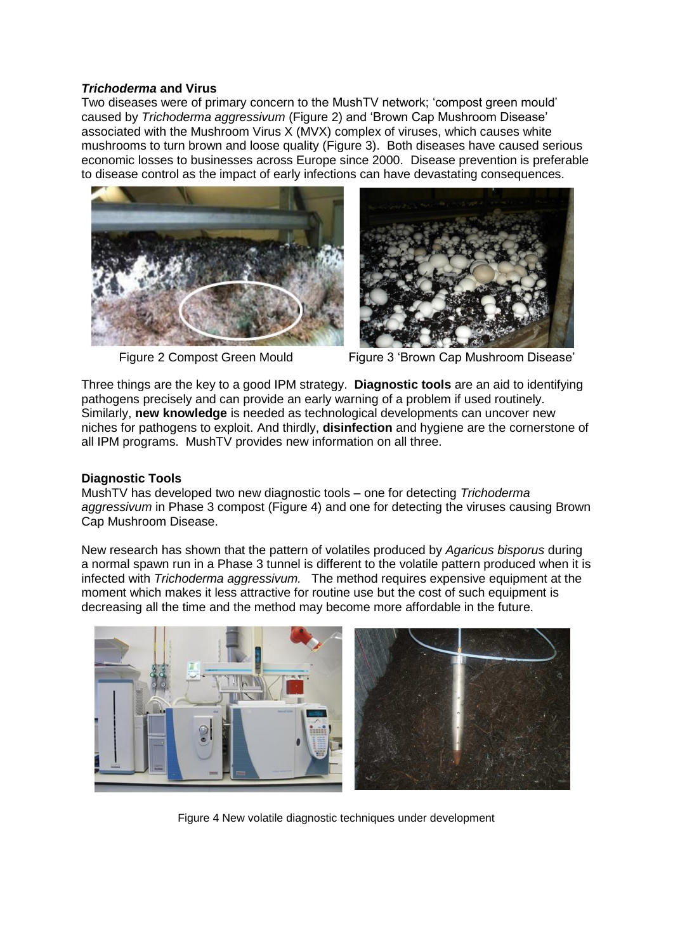#### *Trichoderma* **and Virus**

Two diseases were of primary concern to the MushTV network; 'compost green mould' caused by *Trichoderma aggressivum* (Figure 2) and 'Brown Cap Mushroom Disease' associated with the Mushroom Virus X (MVX) complex of viruses, which causes white mushrooms to turn brown and loose quality (Figure 3). Both diseases have caused serious economic losses to businesses across Europe since 2000. Disease prevention is preferable to disease control as the impact of early infections can have devastating consequences.





Figure 2 Compost Green Mould Figure 3 'Brown Cap Mushroom Disease'

Three things are the key to a good IPM strategy. **Diagnostic tools** are an aid to identifying pathogens precisely and can provide an early warning of a problem if used routinely. Similarly, **new knowledge** is needed as technological developments can uncover new niches for pathogens to exploit. And thirdly, **disinfection** and hygiene are the cornerstone of all IPM programs. MushTV provides new information on all three.

#### **Diagnostic Tools**

MushTV has developed two new diagnostic tools – one for detecting *Trichoderma aggressivum* in Phase 3 compost (Figure 4) and one for detecting the viruses causing Brown Cap Mushroom Disease.

New research has shown that the pattern of volatiles produced by *Agaricus bisporus* during a normal spawn run in a Phase 3 tunnel is different to the volatile pattern produced when it is infected with *Trichoderma aggressivum.* The method requires expensive equipment at the moment which makes it less attractive for routine use but the cost of such equipment is decreasing all the time and the method may become more affordable in the future.



Figure 4 New volatile diagnostic techniques under development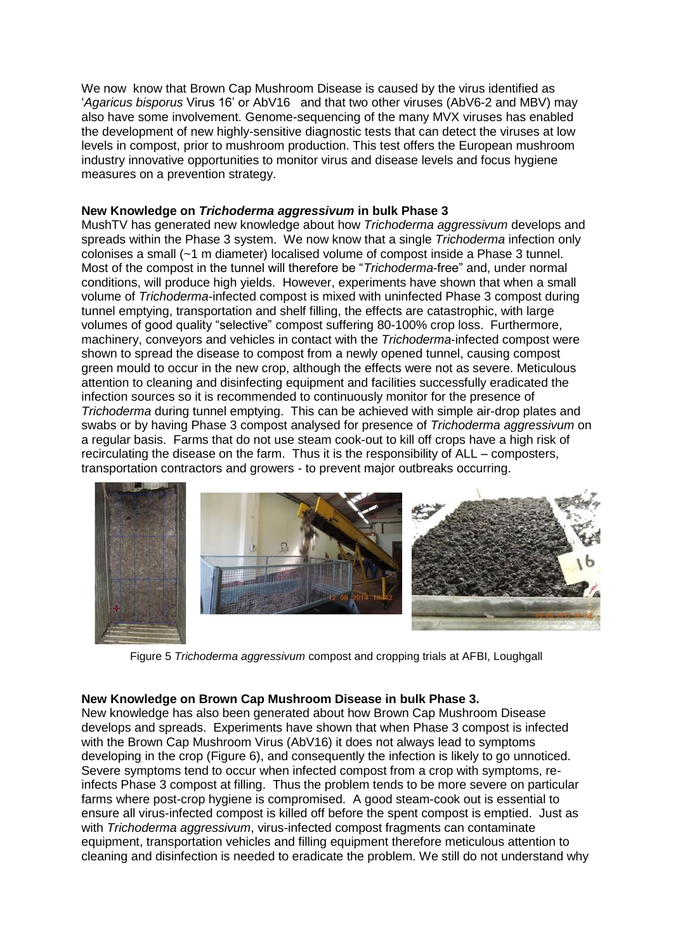We now know that Brown Cap Mushroom Disease is caused by the virus identified as '*Agaricus bisporus* Virus 16' or AbV16 and that two other viruses (AbV6-2 and MBV) may also have some involvement. Genome-sequencing of the many MVX viruses has enabled the development of new highly-sensitive diagnostic tests that can detect the viruses at low levels in compost, prior to mushroom production. This test offers the European mushroom industry innovative opportunities to monitor virus and disease levels and focus hygiene measures on a prevention strategy.

#### **New Knowledge on** *Trichoderma aggressivum* **in bulk Phase 3**

MushTV has generated new knowledge about how *Trichoderma aggressivum* develops and spreads within the Phase 3 system. We now know that a single *Trichoderma* infection only colonises a small (~1 m diameter) localised volume of compost inside a Phase 3 tunnel. Most of the compost in the tunnel will therefore be "*Trichoderma*-free" and, under normal conditions, will produce high yields. However, experiments have shown that when a small volume of *Trichoderma*-infected compost is mixed with uninfected Phase 3 compost during tunnel emptying, transportation and shelf filling, the effects are catastrophic, with large volumes of good quality "selective" compost suffering 80-100% crop loss. Furthermore, machinery, conveyors and vehicles in contact with the *Trichoderma*-infected compost were shown to spread the disease to compost from a newly opened tunnel, causing compost green mould to occur in the new crop, although the effects were not as severe. Meticulous attention to cleaning and disinfecting equipment and facilities successfully eradicated the infection sources so it is recommended to continuously monitor for the presence of *Trichoderma* during tunnel emptying. This can be achieved with simple air-drop plates and swabs or by having Phase 3 compost analysed for presence of *Trichoderma aggressivum* on a regular basis. Farms that do not use steam cook-out to kill off crops have a high risk of recirculating the disease on the farm. Thus it is the responsibility of ALL – composters, transportation contractors and growers - to prevent major outbreaks occurring.



Figure 5 *Trichoderma aggressivum* compost and cropping trials at AFBI, Loughgall

#### **New Knowledge on Brown Cap Mushroom Disease in bulk Phase 3.**

New knowledge has also been generated about how Brown Cap Mushroom Disease develops and spreads. Experiments have shown that when Phase 3 compost is infected with the Brown Cap Mushroom Virus (AbV16) it does not always lead to symptoms developing in the crop (Figure 6), and consequently the infection is likely to go unnoticed. Severe symptoms tend to occur when infected compost from a crop with symptoms, reinfects Phase 3 compost at filling. Thus the problem tends to be more severe on particular farms where post-crop hygiene is compromised. A good steam-cook out is essential to ensure all virus-infected compost is killed off before the spent compost is emptied. Just as with *Trichoderma aggressivum*, virus-infected compost fragments can contaminate equipment, transportation vehicles and filling equipment therefore meticulous attention to cleaning and disinfection is needed to eradicate the problem. We still do not understand why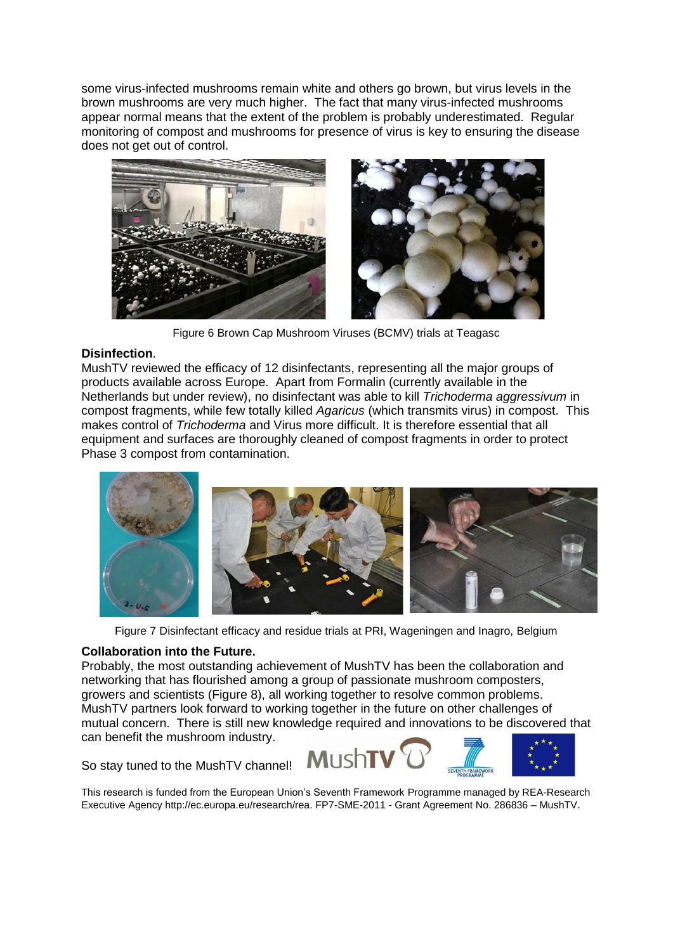some virus-infected mushrooms remain white and others go brown, but virus levels in the brown mushrooms are very much higher. The fact that many virus-infected mushrooms appear normal means that the extent of the problem is probably underestimated. Regular monitoring of compost and mushrooms for presence of virus is key to ensuring the disease does not get out of control.



Figure 6 Brown Cap Mushroom Viruses (BCMV) trials at Teagasc

### **Disinfection**.

MushTV reviewed the efficacy of 12 disinfectants, representing all the major groups of products available across Europe. Apart from Formalin (currently available in the Netherlands but under review), no disinfectant was able to kill *Trichoderma aggressivum* in compost fragments, while few totally killed *Agaricus* (which transmits virus) in compost. This makes control of *Trichoderma* and Virus more difficult. It is therefore essential that all equipment and surfaces are thoroughly cleaned of compost fragments in order to protect Phase 3 compost from contamination.



Figure 7 Disinfectant efficacy and residue trials at PRI, Wageningen and Inagro, Belgium

#### **Collaboration into the Future.**

Probably, the most outstanding achievement of MushTV has been the collaboration and networking that has flourished among a group of passionate mushroom composters, growers and scientists (Figure 8), all working together to resolve common problems. MushTV partners look forward to working together in the future on other challenges of mutual concern. There is still new knowledge required and innovations to be discovered that can benefit the mushroom industry.

So stay tuned to the MushTV channel!



This research is funded from the European Union's Seventh Framework Programme managed by REA-Research Executive Agency http://ec.europa.eu/research/rea. FP7-SME-2011 - Grant Agreement No. 286836 – MushTV.